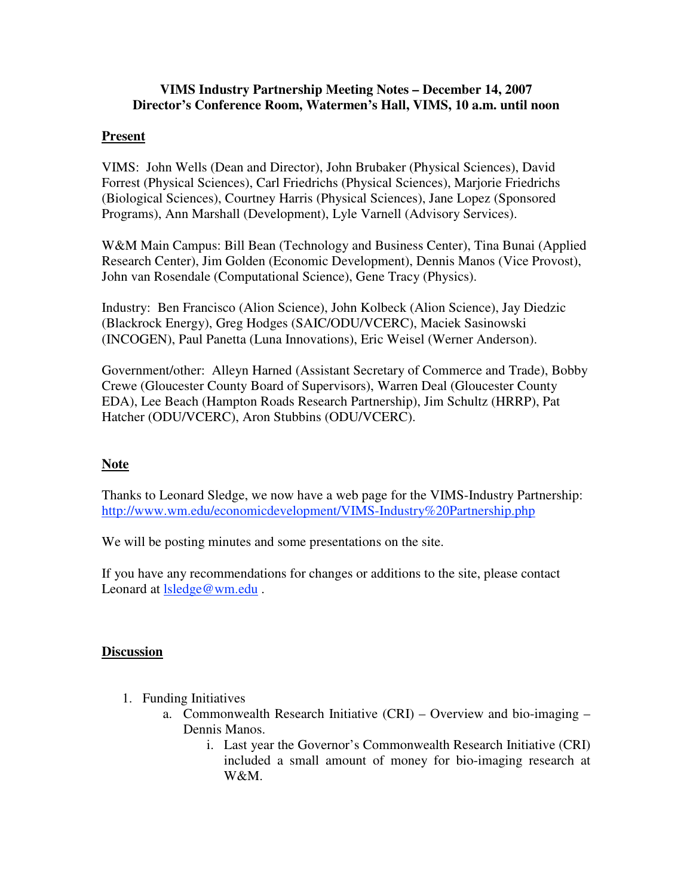## **VIMS Industry Partnership Meeting Notes – December 14, 2007 Director's Conference Room, Watermen's Hall, VIMS, 10 a.m. until noon**

## **Present**

VIMS: John Wells (Dean and Director), John Brubaker (Physical Sciences), David Forrest (Physical Sciences), Carl Friedrichs (Physical Sciences), Marjorie Friedrichs (Biological Sciences), Courtney Harris (Physical Sciences), Jane Lopez (Sponsored Programs), Ann Marshall (Development), Lyle Varnell (Advisory Services).

W&M Main Campus: Bill Bean (Technology and Business Center), Tina Bunai (Applied Research Center), Jim Golden (Economic Development), Dennis Manos (Vice Provost), John van Rosendale (Computational Science), Gene Tracy (Physics).

Industry: Ben Francisco (Alion Science), John Kolbeck (Alion Science), Jay Diedzic (Blackrock Energy), Greg Hodges (SAIC/ODU/VCERC), Maciek Sasinowski (INCOGEN), Paul Panetta (Luna Innovations), Eric Weisel (Werner Anderson).

Government/other: Alleyn Harned (Assistant Secretary of Commerce and Trade), Bobby Crewe (Gloucester County Board of Supervisors), Warren Deal (Gloucester County EDA), Lee Beach (Hampton Roads Research Partnership), Jim Schultz (HRRP), Pat Hatcher (ODU/VCERC), Aron Stubbins (ODU/VCERC).

## **Note**

Thanks to Leonard Sledge, we now have a web page for the VIMS-Industry Partnership: http://www.wm.edu/economicdevelopment/VIMS-Industry%20Partnership.php

We will be posting minutes and some presentations on the site.

If you have any recommendations for changes or additions to the site, please contact Leonard at lsledge@wm.edu.

## **Discussion**

- 1. Funding Initiatives
	- a. Commonwealth Research Initiative (CRI) Overview and bio-imaging Dennis Manos.
		- i. Last year the Governor's Commonwealth Research Initiative (CRI) included a small amount of money for bio-imaging research at W&M.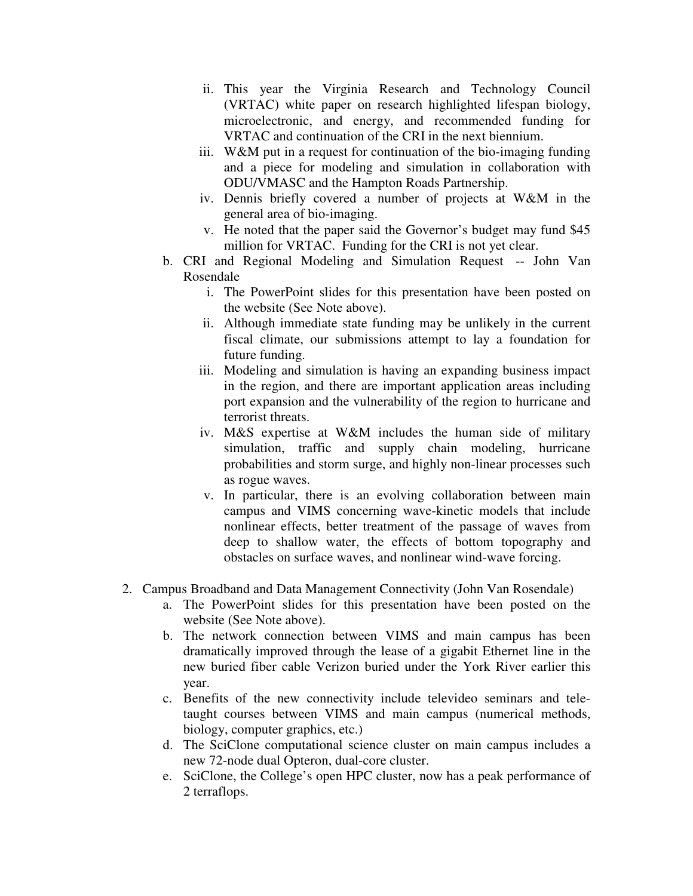- ii. This year the Virginia Research and Technology Council (VRTAC) white paper on research highlighted lifespan biology, microelectronic, and energy, and recommended funding for VRTAC and continuation of the CRI in the next biennium.
- iii. W&M put in a request for continuation of the bio-imaging funding and a piece for modeling and simulation in collaboration with ODU/VMASC and the Hampton Roads Partnership.
- iv. Dennis briefly covered a number of projects at W&M in the general area of bio-imaging.
- v. He noted that the paper said the Governor's budget may fund \$45 million for VRTAC. Funding for the CRI is not yet clear.
- b. CRI and Regional Modeling and Simulation Request -- John Van Rosendale
	- i. The PowerPoint slides for this presentation have been posted on the website (See Note above).
	- ii. Although immediate state funding may be unlikely in the current fiscal climate, our submissions attempt to lay a foundation for future funding.
	- iii. Modeling and simulation is having an expanding business impact in the region, and there are important application areas including port expansion and the vulnerability of the region to hurricane and terrorist threats.
	- iv. M&S expertise at W&M includes the human side of military simulation, traffic and supply chain modeling, hurricane probabilities and storm surge, and highly non-linear processes such as rogue waves.
	- v. In particular, there is an evolving collaboration between main campus and VIMS concerning wave-kinetic models that include nonlinear effects, better treatment of the passage of waves from deep to shallow water, the effects of bottom topography and obstacles on surface waves, and nonlinear wind-wave forcing.
- 2. Campus Broadband and Data Management Connectivity (John Van Rosendale)
	- a. The PowerPoint slides for this presentation have been posted on the website (See Note above).
	- b. The network connection between VIMS and main campus has been dramatically improved through the lease of a gigabit Ethernet line in the new buried fiber cable Verizon buried under the York River earlier this year.
	- c. Benefits of the new connectivity include televideo seminars and teletaught courses between VIMS and main campus (numerical methods, biology, computer graphics, etc.)
	- d. The SciClone computational science cluster on main campus includes a new 72-node dual Opteron, dual-core cluster.
	- e. SciClone, the College's open HPC cluster, now has a peak performance of 2 terraflops.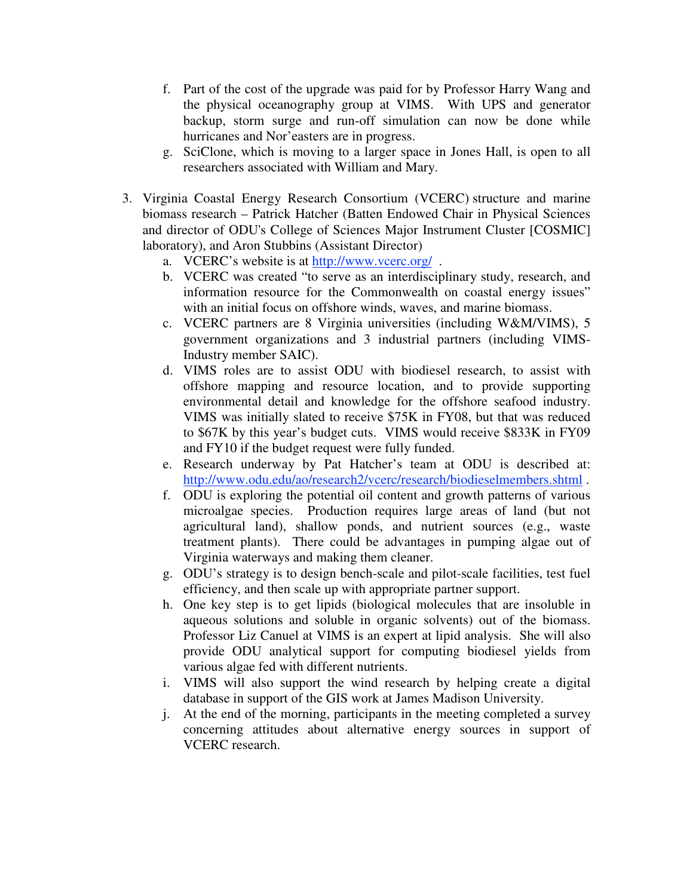- f. Part of the cost of the upgrade was paid for by Professor Harry Wang and the physical oceanography group at VIMS. With UPS and generator backup, storm surge and run-off simulation can now be done while hurricanes and Nor'easters are in progress.
- g. SciClone, which is moving to a larger space in Jones Hall, is open to all researchers associated with William and Mary.
- 3. Virginia Coastal Energy Research Consortium (VCERC) structure and marine biomass research – Patrick Hatcher (Batten Endowed Chair in Physical Sciences and director of ODU's College of Sciences Major Instrument Cluster [COSMIC] laboratory), and Aron Stubbins (Assistant Director)
	- a. VCERC's website is at http://www.vcerc.org/ .
	- b. VCERC was created "to serve as an interdisciplinary study, research, and information resource for the Commonwealth on coastal energy issues" with an initial focus on offshore winds, waves, and marine biomass.
	- c. VCERC partners are 8 Virginia universities (including W&M/VIMS), 5 government organizations and 3 industrial partners (including VIMS-Industry member SAIC).
	- d. VIMS roles are to assist ODU with biodiesel research, to assist with offshore mapping and resource location, and to provide supporting environmental detail and knowledge for the offshore seafood industry. VIMS was initially slated to receive \$75K in FY08, but that was reduced to \$67K by this year's budget cuts. VIMS would receive \$833K in FY09 and FY10 if the budget request were fully funded.
	- e. Research underway by Pat Hatcher's team at ODU is described at: http://www.odu.edu/ao/research2/vcerc/research/biodieselmembers.shtml.
	- f. ODU is exploring the potential oil content and growth patterns of various microalgae species. Production requires large areas of land (but not agricultural land), shallow ponds, and nutrient sources (e.g., waste treatment plants). There could be advantages in pumping algae out of Virginia waterways and making them cleaner.
	- g. ODU's strategy is to design bench-scale and pilot-scale facilities, test fuel efficiency, and then scale up with appropriate partner support.
	- h. One key step is to get lipids (biological molecules that are insoluble in aqueous solutions and soluble in organic solvents) out of the biomass. Professor Liz Canuel at VIMS is an expert at lipid analysis. She will also provide ODU analytical support for computing biodiesel yields from various algae fed with different nutrients.
	- i. VIMS will also support the wind research by helping create a digital database in support of the GIS work at James Madison University.
	- j. At the end of the morning, participants in the meeting completed a survey concerning attitudes about alternative energy sources in support of VCERC research.